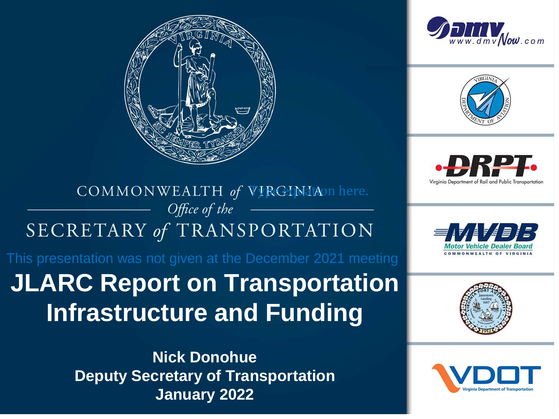





Virginia Department of Rail and Public Transporte

#### COMMONWEALTH of VIRGENIAOn here. Office of the SECRETARY of TRANSPORTATION

This presentation was not given at the December 2021 meeting

### **JLARC Report on Transportation Infrastructure and Funding**

**Nick Donohue Deputy Secretary of Transportation January 2022**





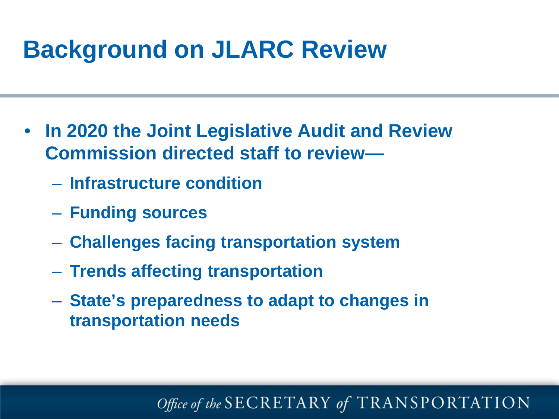# **Background on JLARC Review**

- **In 2020 the Joint Legislative Audit and Review Commission directed staff to review—**
	- **Infrastructure condition**
	- **Funding sources**
	- **Challenges facing transportation system**
	- **Trends affecting transportation**
	- **State's preparedness to adapt to changes in transportation needs**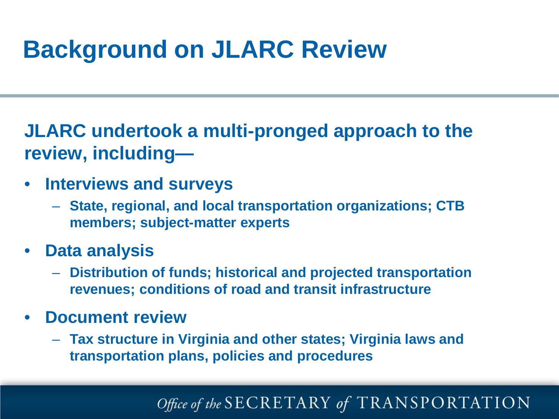# **Background on JLARC Review**

**JLARC undertook a multi-pronged approach to the review, including—**

- **Interviews and surveys**
	- **State, regional, and local transportation organizations; CTB members; subject-matter experts**
- **Data analysis** 
	- **Distribution of funds; historical and projected transportation revenues; conditions of road and transit infrastructure**
- **Document review**
	- **Tax structure in Virginia and other states; Virginia laws and transportation plans, policies and procedures**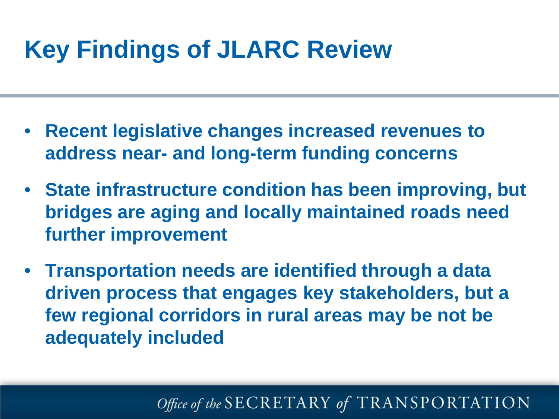# **Key Findings of JLARC Review**

- **Recent legislative changes increased revenues to address near- and long-term funding concerns**
- **State infrastructure condition has been improving, but bridges are aging and locally maintained roads need further improvement**
- **Transportation needs are identified through a data driven process that engages key stakeholders, but a few regional corridors in rural areas may be not be adequately included**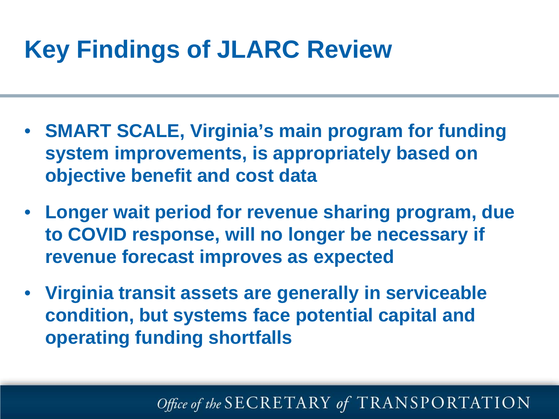# **Key Findings of JLARC Review**

- **SMART SCALE, Virginia's main program for funding system improvements, is appropriately based on objective benefit and cost data**
- **Longer wait period for revenue sharing program, due to COVID response, will no longer be necessary if revenue forecast improves as expected**
- **Virginia transit assets are generally in serviceable condition, but systems face potential capital and operating funding shortfalls**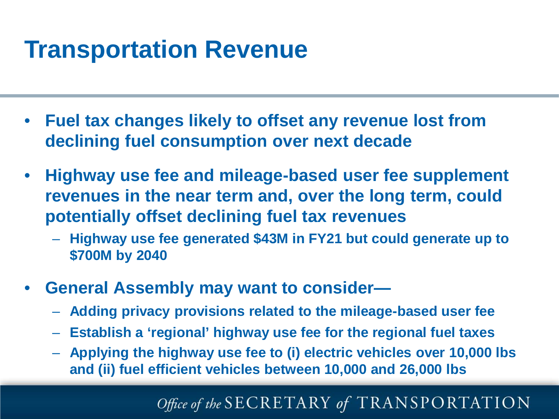# **Transportation Revenue**

- **Fuel tax changes likely to offset any revenue lost from declining fuel consumption over next decade**
- **Highway use fee and mileage-based user fee supplement revenues in the near term and, over the long term, could potentially offset declining fuel tax revenues** 
	- **Highway use fee generated \$43M in FY21 but could generate up to \$700M by 2040**
- **General Assembly may want to consider—**
	- **Adding privacy provisions related to the mileage-based user fee**
	- **Establish a 'regional' highway use fee for the regional fuel taxes**
	- **Applying the highway use fee to (i) electric vehicles over 10,000 lbs and (ii) fuel efficient vehicles between 10,000 and 26,000 lbs**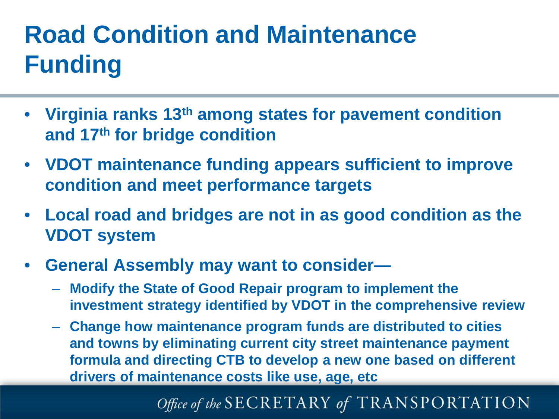### onuluon anu waintenant<br>} **Road Condition and Maintenance Funding**

- **Virginia ranks 13th among states for pavement condition and 17th for bridge condition**
- **VDOT maintenance funding appears sufficient to improve condition and meet performance targets**
- **Local road and bridges are not in as good condition as the VDOT system**
- **General Assembly may want to consider—**
	- **Modify the State of Good Repair program to implement the investment strategy identified by VDOT in the comprehensive review**
	- **Change how maintenance program funds are distributed to cities and towns by eliminating current city street maintenance payment formula and directing CTB to develop a new one based on different drivers of maintenance costs like use, age, etc**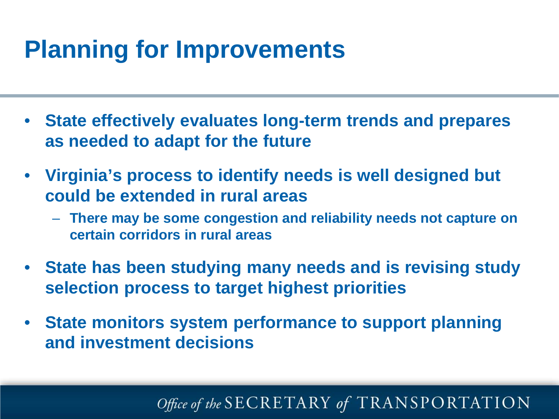# **Planning for Improvements**

- **State effectively evaluates long-term trends and prepares as needed to adapt for the future**
- **Virginia's process to identify needs is well designed but could be extended in rural areas**
	- **There may be some congestion and reliability needs not capture on certain corridors in rural areas**
- **State has been studying many needs and is revising study selection process to target highest priorities**
- **State monitors system performance to support planning and investment decisions**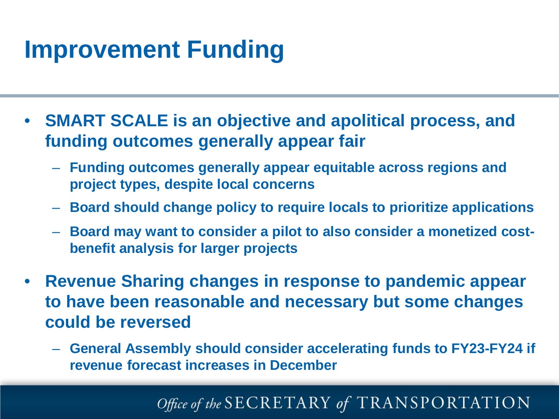# **Improvement Funding**

- **SMART SCALE is an objective and apolitical process, and funding outcomes generally appear fair**
	- **Funding outcomes generally appear equitable across regions and project types, despite local concerns**
	- **Board should change policy to require locals to prioritize applications**
	- **Board may want to consider a pilot to also consider a monetized costbenefit analysis for larger projects**
- **Revenue Sharing changes in response to pandemic appear to have been reasonable and necessary but some changes could be reversed**
	- **General Assembly should consider accelerating funds to FY23-FY24 if revenue forecast increases in December**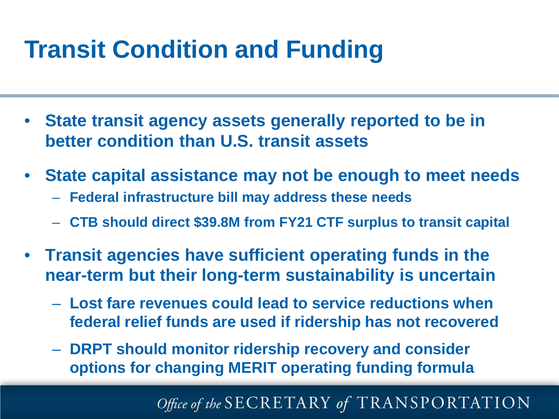# **Transit Condition and Funding**

- **State transit agency assets generally reported to be in better condition than U.S. transit assets**
- **State capital assistance may not be enough to meet needs**
	- **Federal infrastructure bill may address these needs**
	- **CTB should direct \$39.8M from FY21 CTF surplus to transit capital**
- **Transit agencies have sufficient operating funds in the near-term but their long-term sustainability is uncertain**
	- **Lost fare revenues could lead to service reductions when federal relief funds are used if ridership has not recovered**
	- **DRPT should monitor ridership recovery and consider options for changing MERIT operating funding formula**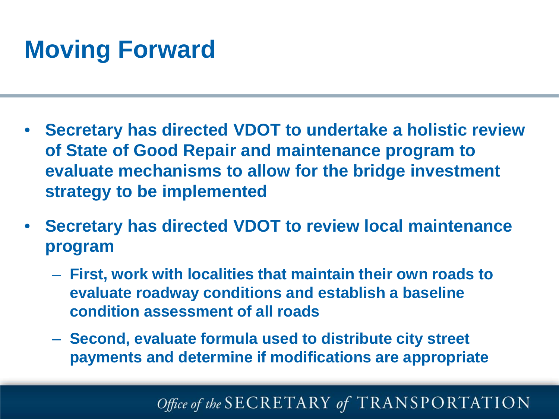# **Moving Forward**

- **Secretary has directed VDOT to undertake a holistic review of State of Good Repair and maintenance program to evaluate mechanisms to allow for the bridge investment strategy to be implemented**
- **Secretary has directed VDOT to review local maintenance program** 
	- **First, work with localities that maintain their own roads to evaluate roadway conditions and establish a baseline condition assessment of all roads**
	- **Second, evaluate formula used to distribute city street payments and determine if modifications are appropriate**